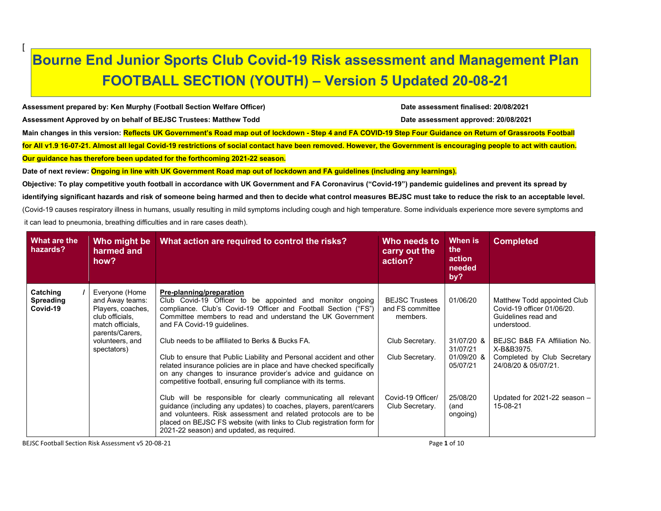## Bourne End Junior Sports Club Covid-19 Risk assessment and Management Plan FOOTBALL SECTION (YOUTH) – Version 5 Updated 20-08-21

Assessment prepared by: Ken Murphy (Football Section Welfare Officer) Date assessment finalised: 20/08/2021 Assessment Approved by on behalf of BEJSC Trustees: Matthew Todd Date assessment approved: 20/08/2021 Main changes in this version: Reflects UK Government's Road map out of lockdown - Step 4 and FA COVID-19 Step Four Guidance on Return of Grassroots Football for All v1.9 16-07-21. Almost all legal Covid-19 restrictions of social contact have been removed. However, the Government is encouraging people to act with caution. Our guidance has therefore been updated for the forthcoming 2021-22 season.

Date of next review: Ongoing in line with UK Government Road map out of lockdown and FA guidelines (including any learnings).

Objective: To play competitive youth football in accordance with UK Government and FA Coronavirus ("Covid-19") pandemic guidelines and prevent its spread by identifying significant hazards and risk of someone being harmed and then to decide what control measures BEJSC must take to reduce the risk to an acceptable level. (Covid-19 causes respiratory illness in humans, usually resulting in mild symptoms including cough and high temperature. Some individuals experience more severe symptoms and it can lead to pneumonia, breathing difficulties and in rare cases death).

| What are the<br>hazards?                 | Who might be<br>harmed and<br>how?                                                                                                                 | What action are required to control the risks?                                                                                                                                                                                                                                                                                                                                                                                                                                                                                                                                                | Who needs to<br>carry out the<br>action?                                                    | When is<br>the<br>action<br>needed<br>by?                    | <b>Completed</b>                                                                                                                                                                                     |
|------------------------------------------|----------------------------------------------------------------------------------------------------------------------------------------------------|-----------------------------------------------------------------------------------------------------------------------------------------------------------------------------------------------------------------------------------------------------------------------------------------------------------------------------------------------------------------------------------------------------------------------------------------------------------------------------------------------------------------------------------------------------------------------------------------------|---------------------------------------------------------------------------------------------|--------------------------------------------------------------|------------------------------------------------------------------------------------------------------------------------------------------------------------------------------------------------------|
| Catching<br><b>Spreading</b><br>Covid-19 | Everyone (Home<br>and Away teams:<br>Players, coaches,<br>club officials,<br>match officials.<br>parents/Carers,<br>volunteers, and<br>spectators) | Pre-planning/preparation<br>Club Covid-19 Officer to be appointed and monitor ongoing<br>compliance. Club's Covid-19 Officer and Football Section ("FS")<br>Committee members to read and understand the UK Government<br>and FA Covid-19 quidelines.<br>Club needs to be affiliated to Berks & Bucks FA.<br>Club to ensure that Public Liability and Personal accident and other<br>related insurance policies are in place and have checked specifically<br>on any changes to insurance provider's advice and guidance on<br>competitive football, ensuring full compliance with its terms. | <b>BEJSC Trustees</b><br>and FS committee<br>members.<br>Club Secretary.<br>Club Secretary. | 01/06/20<br>31/07/20 &<br>31/07/21<br>01/09/20 &<br>05/07/21 | Matthew Todd appointed Club<br>Covid-19 officer 01/06/20.<br>Guidelines read and<br>understood.<br>BEJSC B&B FA Affiliation No.<br>X-B&B3975.<br>Completed by Club Secretary<br>24/08/20 & 05/07/21. |
|                                          |                                                                                                                                                    | Club will be responsible for clearly communicating all relevant<br>guidance (including any updates) to coaches, players, parent/carers<br>and volunteers. Risk assessment and related protocols are to be<br>placed on BEJSC FS website (with links to Club registration form for<br>2021-22 season) and updated, as required.                                                                                                                                                                                                                                                                | Covid-19 Officer/<br>Club Secretary.                                                        | 25/08/20<br>(and<br>ongoing)                                 | Updated for 2021-22 season -<br>15-08-21                                                                                                                                                             |

BEJSC Football Section Risk Assessment v5 20-08-21 **Page 1 of 10** Page 1 of 10

[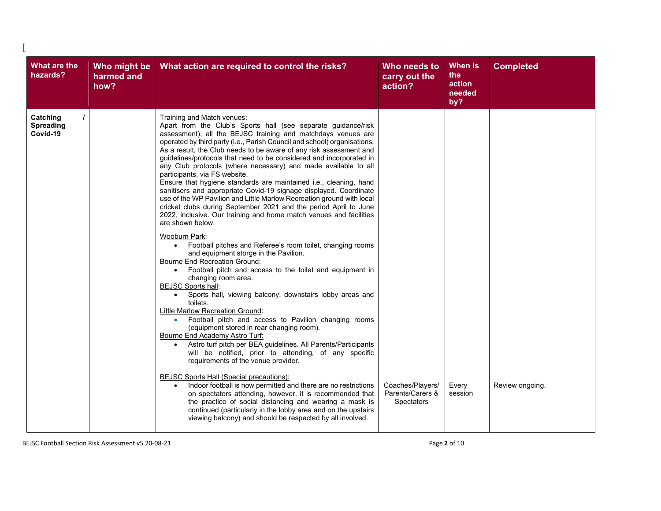| <b>What are the</b><br>hazards?          | Who might be<br>harmed and<br>how? | What action are required to control the risks?                                                                                                                                                                                                                                                                                                                                                                                                                                                                                                                                                                                                                                                                                                                                                                                                                                                                                                                                                                                                                                                                                                                                                                                                                                                                                                                                                                                                                                                                                                                                                                                                                                                                                                                                                                                                                                                                                                                                                                               | Who needs to<br>carry out the<br>action?                  | When is<br>the<br>action<br>needed<br>by? | <b>Completed</b> |
|------------------------------------------|------------------------------------|------------------------------------------------------------------------------------------------------------------------------------------------------------------------------------------------------------------------------------------------------------------------------------------------------------------------------------------------------------------------------------------------------------------------------------------------------------------------------------------------------------------------------------------------------------------------------------------------------------------------------------------------------------------------------------------------------------------------------------------------------------------------------------------------------------------------------------------------------------------------------------------------------------------------------------------------------------------------------------------------------------------------------------------------------------------------------------------------------------------------------------------------------------------------------------------------------------------------------------------------------------------------------------------------------------------------------------------------------------------------------------------------------------------------------------------------------------------------------------------------------------------------------------------------------------------------------------------------------------------------------------------------------------------------------------------------------------------------------------------------------------------------------------------------------------------------------------------------------------------------------------------------------------------------------------------------------------------------------------------------------------------------------|-----------------------------------------------------------|-------------------------------------------|------------------|
| Catching<br><b>Spreading</b><br>Covid-19 |                                    | Training and Match venues:<br>Apart from the Club's Sports hall (see separate guidance/risk<br>assessment), all the BEJSC training and matchdays venues are<br>operated by third party (i.e., Parish Council and school) organisations.<br>As a result, the Club needs to be aware of any risk assessment and<br>guidelines/protocols that need to be considered and incorporated in<br>any Club protocols (where necessary) and made available to all<br>participants, via FS website.<br>Ensure that hygiene standards are maintained i.e., cleaning, hand<br>sanitisers and appropriate Covid-19 signage displayed. Coordinate<br>use of the WP Pavilion and Little Marlow Recreation ground with local<br>cricket clubs during September 2021 and the period April to June<br>2022, inclusive. Our training and home match venues and facilities<br>are shown below.<br>Wooburn Park:<br>Football pitches and Referee's room toilet, changing rooms<br>$\bullet$<br>and equipment storge in the Pavilion.<br><b>Bourne End Recreation Ground:</b><br>Football pitch and access to the toilet and equipment in<br>$\bullet$<br>changing room area.<br><b>BEJSC Sports hall:</b><br>Sports hall, viewing balcony, downstairs lobby areas and<br>$\bullet$<br>toilets.<br>Little Marlow Recreation Ground:<br>Football pitch and access to Pavilion changing rooms<br>٠<br>(equipment stored in rear changing room).<br>Bourne End Academy Astro Turf:<br>Astro turf pitch per BEA guidelines. All Parents/Participants<br>$\bullet$<br>will be notified, prior to attending, of any specific<br>requirements of the venue provider.<br><b>BEJSC Sports Hall (Special precautions):</b><br>Indoor football is now permitted and there are no restrictions<br>$\bullet$<br>on spectators attending, however, it is recommended that<br>the practice of social distancing and wearing a mask is<br>continued (particularly in the lobby area and on the upstairs<br>viewing balcony) and should be respected by all involved. | Coaches/Players/<br>Parents/Carers &<br><b>Spectators</b> | Every<br>session                          | Review ongoing.  |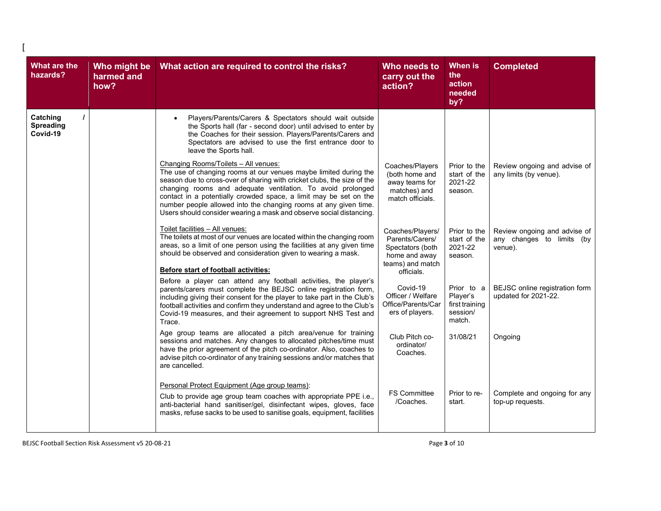| <b>What are the</b><br>hazards?   | Who might be<br>harmed and<br>how? | What action are required to control the risks?                                                                                                                                                                                                                                                                                                                                                                                                                                                                                                                                                                                                                                                                                                                                                                                                                                                                                                                                                                                                                                                                                                                                                                                                                                                                                                                                                                                                                                                                                                                                                                                                                                                                                                                                                                                                                                                                                                                                                                             | Who needs to<br>carry out the<br>action?                                                                                                                                                                                                                                                                                                                        | When is<br>the<br>action<br>needed<br>by?                                                                                                                                                                        | <b>Completed</b>                                                                                                                                                                                                                                        |
|-----------------------------------|------------------------------------|----------------------------------------------------------------------------------------------------------------------------------------------------------------------------------------------------------------------------------------------------------------------------------------------------------------------------------------------------------------------------------------------------------------------------------------------------------------------------------------------------------------------------------------------------------------------------------------------------------------------------------------------------------------------------------------------------------------------------------------------------------------------------------------------------------------------------------------------------------------------------------------------------------------------------------------------------------------------------------------------------------------------------------------------------------------------------------------------------------------------------------------------------------------------------------------------------------------------------------------------------------------------------------------------------------------------------------------------------------------------------------------------------------------------------------------------------------------------------------------------------------------------------------------------------------------------------------------------------------------------------------------------------------------------------------------------------------------------------------------------------------------------------------------------------------------------------------------------------------------------------------------------------------------------------------------------------------------------------------------------------------------------------|-----------------------------------------------------------------------------------------------------------------------------------------------------------------------------------------------------------------------------------------------------------------------------------------------------------------------------------------------------------------|------------------------------------------------------------------------------------------------------------------------------------------------------------------------------------------------------------------|---------------------------------------------------------------------------------------------------------------------------------------------------------------------------------------------------------------------------------------------------------|
| Catching<br>Spreading<br>Covid-19 |                                    | Players/Parents/Carers & Spectators should wait outside<br>$\bullet$<br>the Sports hall (far - second door) until advised to enter by<br>the Coaches for their session. Players/Parents/Carers and<br>Spectators are advised to use the first entrance door to<br>leave the Sports hall.<br>Changing Rooms/Toilets - All venues:<br>The use of changing rooms at our venues maybe limited during the<br>season due to cross-over of sharing with cricket clubs, the size of the<br>changing rooms and adequate ventilation. To avoid prolonged<br>contact in a potentially crowded space, a limit may be set on the<br>number people allowed into the changing rooms at any given time.<br>Users should consider wearing a mask and observe social distancing.<br>Toilet facilities - All venues:<br>The toilets at most of our venues are located within the changing room<br>areas, so a limit of one person using the facilities at any given time<br>should be observed and consideration given to wearing a mask.<br>Before start of football activities:<br>Before a player can attend any football activities, the player's<br>parents/carers must complete the BEJSC online registration form,<br>including giving their consent for the player to take part in the Club's<br>football activities and confirm they understand and agree to the Club's<br>Covid-19 measures, and their agreement to support NHS Test and<br>Trace.<br>Age group teams are allocated a pitch area/venue for training<br>sessions and matches. Any changes to allocated pitches/time must<br>have the prior agreement of the pitch co-ordinator. Also, coaches to<br>advise pitch co-ordinator of any training sessions and/or matches that<br>are cancelled.<br>Personal Protect Equipment (Age group teams):<br>Club to provide age group team coaches with appropriate PPE i.e.,<br>anti-bacterial hand sanitiser/gel, disinfectant wipes, gloves, face<br>masks, refuse sacks to be used to sanitise goals, equipment, facilities | Coaches/Players<br>(both home and<br>away teams for<br>matches) and<br>match officials.<br>Coaches/Players/<br>Parents/Carers/<br>Spectators (both<br>home and away<br>teams) and match<br>officials.<br>Covid-19<br>Officer / Welfare<br>Office/Parents/Car<br>ers of players.<br>Club Pitch co-<br>ordinator/<br>Coaches.<br><b>FS Committee</b><br>/Coaches. | Prior to the<br>start of the<br>2021-22<br>season.<br>Prior to the<br>start of the<br>2021-22<br>season.<br>Prior to a<br>Player's<br>first training<br>session/<br>match.<br>31/08/21<br>Prior to re-<br>start. | Review ongoing and advise of<br>any limits (by venue).<br>Review ongoing and advise of<br>any changes to limits (by<br>venue).<br>BEJSC online registration form<br>updated for 2021-22.<br>Ongoing<br>Complete and ongoing for any<br>top-up requests. |
|                                   |                                    |                                                                                                                                                                                                                                                                                                                                                                                                                                                                                                                                                                                                                                                                                                                                                                                                                                                                                                                                                                                                                                                                                                                                                                                                                                                                                                                                                                                                                                                                                                                                                                                                                                                                                                                                                                                                                                                                                                                                                                                                                            |                                                                                                                                                                                                                                                                                                                                                                 |                                                                                                                                                                                                                  |                                                                                                                                                                                                                                                         |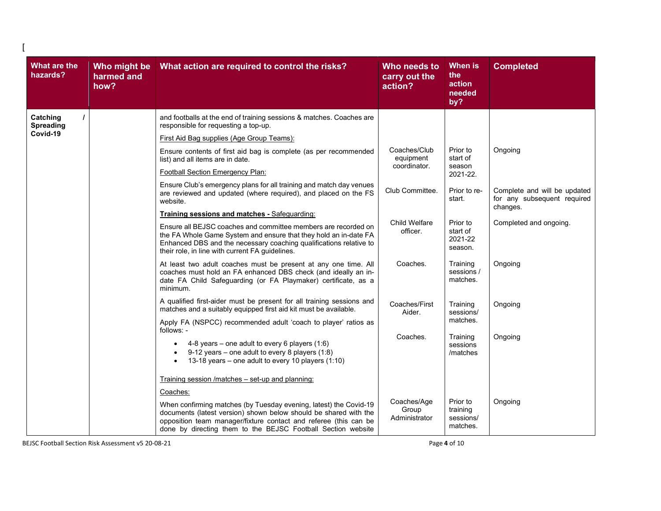| What are the<br>hazards?          | Who might be<br>harmed and<br>how?                                                                                                                                                                                          | What action are required to control the risks?                                                                                                                                                                                                                            | Who needs to<br>carry out the<br>action?  | <b>When is</b><br>the<br>action<br>needed<br>by?                        | <b>Completed</b>       |
|-----------------------------------|-----------------------------------------------------------------------------------------------------------------------------------------------------------------------------------------------------------------------------|---------------------------------------------------------------------------------------------------------------------------------------------------------------------------------------------------------------------------------------------------------------------------|-------------------------------------------|-------------------------------------------------------------------------|------------------------|
| Catching<br>Spreading<br>Covid-19 |                                                                                                                                                                                                                             | and footballs at the end of training sessions & matches. Coaches are<br>responsible for requesting a top-up.                                                                                                                                                              |                                           |                                                                         |                        |
|                                   |                                                                                                                                                                                                                             | First Aid Bag supplies (Age Group Teams):                                                                                                                                                                                                                                 |                                           |                                                                         |                        |
|                                   |                                                                                                                                                                                                                             | Ensure contents of first aid bag is complete (as per recommended<br>list) and all items are in date.                                                                                                                                                                      | Coaches/Club<br>equipment<br>coordinator. | Prior to<br>start of<br>season                                          | Ongoing                |
|                                   |                                                                                                                                                                                                                             | Football Section Emergency Plan:                                                                                                                                                                                                                                          |                                           | 2021-22.                                                                |                        |
|                                   | Ensure Club's emergency plans for all training and match day venues<br>Club Committee.<br>are reviewed and updated (where required), and placed on the FS<br>website.                                                       |                                                                                                                                                                                                                                                                           | Prior to re-<br>start.                    | Complete and will be updated<br>for any subsequent required<br>changes. |                        |
|                                   |                                                                                                                                                                                                                             | Training sessions and matches - Safeguarding:                                                                                                                                                                                                                             |                                           |                                                                         |                        |
|                                   |                                                                                                                                                                                                                             | Ensure all BEJSC coaches and committee members are recorded on<br>the FA Whole Game System and ensure that they hold an in-date FA<br>Enhanced DBS and the necessary coaching qualifications relative to<br>their role, in line with current FA guidelines.               | <b>Child Welfare</b><br>officer.          | Prior to<br>start of<br>2021-22<br>season.                              | Completed and ongoing. |
|                                   | At least two adult coaches must be present at any one time. All<br>Coaches.<br>coaches must hold an FA enhanced DBS check (and ideally an in-<br>date FA Child Safeguarding (or FA Playmaker) certificate, as a<br>minimum. |                                                                                                                                                                                                                                                                           | Training<br>sessions/<br>matches.         | Ongoing                                                                 |                        |
|                                   |                                                                                                                                                                                                                             | A qualified first-aider must be present for all training sessions and<br>matches and a suitably equipped first aid kit must be available.                                                                                                                                 | Coaches/First<br>Aider.                   | Training<br>sessions/<br>matches.                                       | Ongoing                |
|                                   |                                                                                                                                                                                                                             | Apply FA (NSPCC) recommended adult 'coach to player' ratios as<br>follows: -                                                                                                                                                                                              |                                           |                                                                         |                        |
|                                   |                                                                                                                                                                                                                             | 4-8 years – one adult to every 6 players (1:6)<br>$\bullet$<br>9-12 years – one adult to every 8 players $(1.8)$<br>13-18 years - one adult to every 10 players (1:10)                                                                                                    | Coaches.                                  | Training<br>sessions<br>/matches                                        | Ongoing                |
|                                   |                                                                                                                                                                                                                             | Training session /matches - set-up and planning:                                                                                                                                                                                                                          |                                           |                                                                         |                        |
|                                   |                                                                                                                                                                                                                             | Coaches:                                                                                                                                                                                                                                                                  |                                           |                                                                         |                        |
|                                   |                                                                                                                                                                                                                             | When confirming matches (by Tuesday evening, latest) the Covid-19<br>documents (latest version) shown below should be shared with the<br>opposition team manager/fixture contact and referee (this can be<br>done by directing them to the BEJSC Football Section website | Coaches/Age<br>Group<br>Administrator     | Prior to<br>training<br>sessions/<br>matches.                           | Ongoing                |

BEJSC Football Section Risk Assessment v5 20-08-21 **Page 4 of 10** Page 4 of 10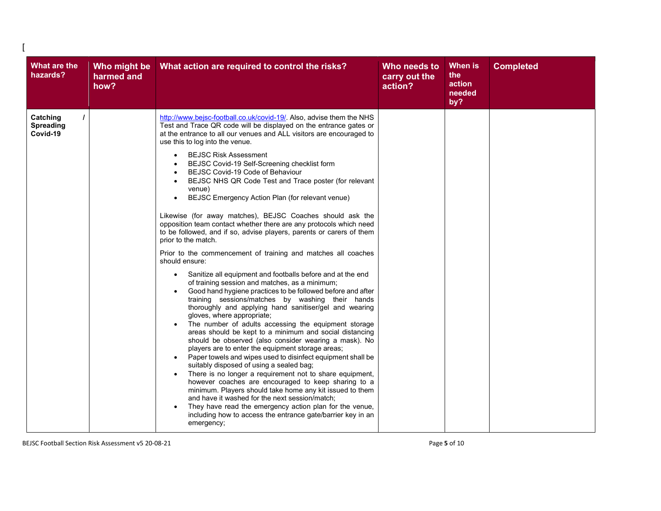| What are the<br>hazards?                 | Who might be<br>harmed and<br>how? | What action are required to control the risks?                                                                                                                                                                                                                                                                                                                                                                                                                                                                                                                                                                                                                                                                                                                                                                                                                                                                                                                                                                                                                                                                                                                                                                                                                                                                                                                                                                                                                                                                                                                                                                                                                                                                                                                                                                                                                                                                                                    | Who needs to<br>carry out the<br>action? | When is<br>the<br>action<br>needed<br>by? | <b>Completed</b> |
|------------------------------------------|------------------------------------|---------------------------------------------------------------------------------------------------------------------------------------------------------------------------------------------------------------------------------------------------------------------------------------------------------------------------------------------------------------------------------------------------------------------------------------------------------------------------------------------------------------------------------------------------------------------------------------------------------------------------------------------------------------------------------------------------------------------------------------------------------------------------------------------------------------------------------------------------------------------------------------------------------------------------------------------------------------------------------------------------------------------------------------------------------------------------------------------------------------------------------------------------------------------------------------------------------------------------------------------------------------------------------------------------------------------------------------------------------------------------------------------------------------------------------------------------------------------------------------------------------------------------------------------------------------------------------------------------------------------------------------------------------------------------------------------------------------------------------------------------------------------------------------------------------------------------------------------------------------------------------------------------------------------------------------------------|------------------------------------------|-------------------------------------------|------------------|
| Catching<br><b>Spreading</b><br>Covid-19 |                                    | http://www.bejsc-football.co.uk/covid-19/ Also, advise them the NHS<br>Test and Trace QR code will be displayed on the entrance gates or<br>at the entrance to all our venues and ALL visitors are encouraged to<br>use this to log into the venue.<br><b>BEJSC Risk Assessment</b><br>$\bullet$<br>BEJSC Covid-19 Self-Screening checklist form<br>$\bullet$<br>BEJSC Covid-19 Code of Behaviour<br>BEJSC NHS QR Code Test and Trace poster (for relevant<br>$\bullet$<br>venue)<br>BEJSC Emergency Action Plan (for relevant venue)<br>$\bullet$<br>Likewise (for away matches), BEJSC Coaches should ask the<br>opposition team contact whether there are any protocols which need<br>to be followed, and if so, advise players, parents or carers of them<br>prior to the match.<br>Prior to the commencement of training and matches all coaches<br>should ensure:<br>Sanitize all equipment and footballs before and at the end<br>$\bullet$<br>of training session and matches, as a minimum;<br>Good hand hygiene practices to be followed before and after<br>training sessions/matches by washing their hands<br>thoroughly and applying hand sanitiser/gel and wearing<br>gloves, where appropriate;<br>The number of adults accessing the equipment storage<br>areas should be kept to a minimum and social distancing<br>should be observed (also consider wearing a mask). No<br>players are to enter the equipment storage areas;<br>Paper towels and wipes used to disinfect equipment shall be<br>$\bullet$<br>suitably disposed of using a sealed bag;<br>There is no longer a requirement not to share equipment,<br>however coaches are encouraged to keep sharing to a<br>minimum. Players should take home any kit issued to them<br>and have it washed for the next session/match;<br>They have read the emergency action plan for the venue,<br>including how to access the entrance gate/barrier key in an<br>emergency; |                                          |                                           |                  |

BEJSC Football Section Risk Assessment v5 20-08-21 **Page 5 of 10** Page 5 of 10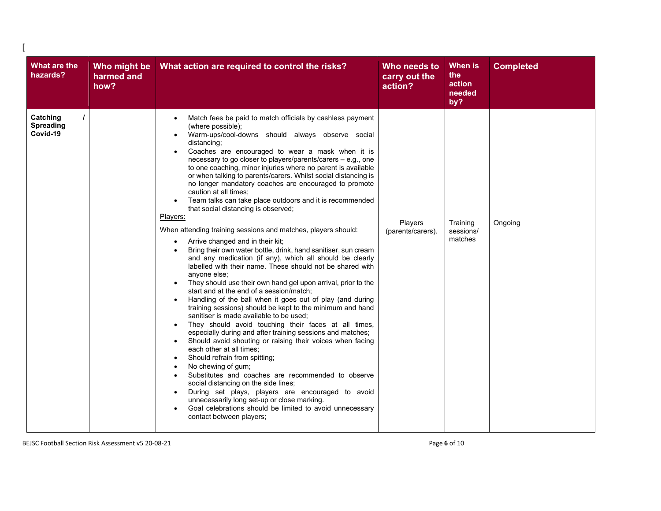| <b>What are the</b><br>hazards?   | Who might be<br>harmed and<br>how? | What action are required to control the risks?                                                                                                                                                                                                                                                                                                                                                                                                                                                                                                                                                                                                                                                                                                                                                                                                                                                                                                                                                                                                                                                                                                                                                                                                                                                                                                                                                                                                                                                                                                                                                                                                                                                                                                                                                                                                                                     | Who needs to<br>carry out the<br>action? | When is<br>the<br>action<br>needed<br>by? | <b>Completed</b> |
|-----------------------------------|------------------------------------|------------------------------------------------------------------------------------------------------------------------------------------------------------------------------------------------------------------------------------------------------------------------------------------------------------------------------------------------------------------------------------------------------------------------------------------------------------------------------------------------------------------------------------------------------------------------------------------------------------------------------------------------------------------------------------------------------------------------------------------------------------------------------------------------------------------------------------------------------------------------------------------------------------------------------------------------------------------------------------------------------------------------------------------------------------------------------------------------------------------------------------------------------------------------------------------------------------------------------------------------------------------------------------------------------------------------------------------------------------------------------------------------------------------------------------------------------------------------------------------------------------------------------------------------------------------------------------------------------------------------------------------------------------------------------------------------------------------------------------------------------------------------------------------------------------------------------------------------------------------------------------|------------------------------------------|-------------------------------------------|------------------|
| Catching<br>Spreading<br>Covid-19 |                                    | Match fees be paid to match officials by cashless payment<br>$\bullet$<br>(where possible);<br>Warm-ups/cool-downs should always observe social<br>$\bullet$<br>distancing;<br>Coaches are encouraged to wear a mask when it is<br>necessary to go closer to players/parents/carers – e.g., one<br>to one coaching, minor injuries where no parent is available<br>or when talking to parents/carers. Whilst social distancing is<br>no longer mandatory coaches are encouraged to promote<br>caution at all times:<br>Team talks can take place outdoors and it is recommended<br>that social distancing is observed;<br>Players:<br>When attending training sessions and matches, players should:<br>Arrive changed and in their kit;<br>$\bullet$<br>Bring their own water bottle, drink, hand sanitiser, sun cream<br>and any medication (if any), which all should be clearly<br>labelled with their name. These should not be shared with<br>anyone else;<br>They should use their own hand gel upon arrival, prior to the<br>start and at the end of a session/match;<br>Handling of the ball when it goes out of play (and during<br>training sessions) should be kept to the minimum and hand<br>sanitiser is made available to be used:<br>They should avoid touching their faces at all times,<br>$\bullet$<br>especially during and after training sessions and matches;<br>Should avoid shouting or raising their voices when facing<br>$\bullet$<br>each other at all times;<br>Should refrain from spitting;<br>No chewing of gum;<br>$\bullet$<br>Substitutes and coaches are recommended to observe<br>$\bullet$<br>social distancing on the side lines;<br>During set plays, players are encouraged to avoid<br>$\bullet$<br>unnecessarily long set-up or close marking.<br>Goal celebrations should be limited to avoid unnecessary<br>contact between players; | Players<br>(parents/carers).             | Training<br>sessions/<br>matches          | Ongoing          |

BEJSC Football Section Risk Assessment v5 20-08-21 **Page 6 of 10** Page 6 of 10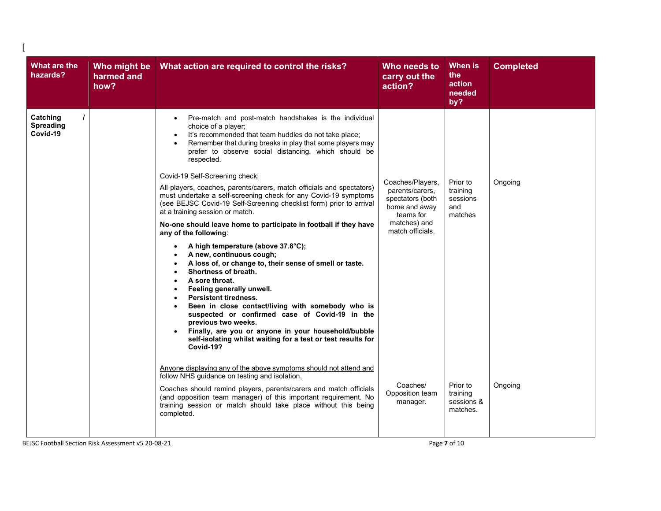| Catching<br>Pre-match and post-match handshakes is the individual<br>$\bullet$<br><b>Spreading</b><br>choice of a player;<br>Covid-19<br>It's recommended that team huddles do not take place;<br>Remember that during breaks in play that some players may<br>prefer to observe social distancing, which should be<br>respected.<br>Covid-19 Self-Screening check:<br>Coaches/Players,<br>Prior to<br>Ongoing<br>All players, coaches, parents/carers, match officials and spectators)<br>parents/carers,<br>training<br>must undertake a self-screening check for any Covid-19 symptoms<br>spectators (both<br>sessions<br>(see BEJSC Covid-19 Self-Screening checklist form) prior to arrival<br>home and away<br>and<br>at a training session or match.<br>matches<br>teams for<br>matches) and<br>No-one should leave home to participate in football if they have<br>match officials.<br>any of the following:<br>A high temperature (above 37.8°C);<br>A new, continuous cough;<br>A loss of, or change to, their sense of smell or taste.<br>Shortness of breath.<br>A sore throat.<br>$\bullet$<br>Feeling generally unwell.<br><b>Persistent tiredness.</b><br>$\bullet$<br>Been in close contact/living with somebody who is<br>suspected or confirmed case of Covid-19 in the<br>previous two weeks.<br>Finally, are you or anyone in your household/bubble<br>self-isolating whilst waiting for a test or test results for<br>Covid-19?<br>Anyone displaying any of the above symptoms should not attend and<br>follow NHS guidance on testing and isolation.<br>Coaches/<br>Prior to<br>Ongoing<br>Coaches should remind players, parents/carers and match officials<br>Opposition team<br>training<br>(and opposition team manager) of this important requirement. No<br>sessions &<br>manager.<br>training session or match should take place without this being<br>matches.<br>completed. | What are the<br>hazards? | Who might be<br>harmed and<br>how? | What action are required to control the risks? | Who needs to<br>carry out the<br>action? | <b>When is</b><br>the<br>action<br>needed<br>by? | <b>Completed</b> |
|------------------------------------------------------------------------------------------------------------------------------------------------------------------------------------------------------------------------------------------------------------------------------------------------------------------------------------------------------------------------------------------------------------------------------------------------------------------------------------------------------------------------------------------------------------------------------------------------------------------------------------------------------------------------------------------------------------------------------------------------------------------------------------------------------------------------------------------------------------------------------------------------------------------------------------------------------------------------------------------------------------------------------------------------------------------------------------------------------------------------------------------------------------------------------------------------------------------------------------------------------------------------------------------------------------------------------------------------------------------------------------------------------------------------------------------------------------------------------------------------------------------------------------------------------------------------------------------------------------------------------------------------------------------------------------------------------------------------------------------------------------------------------------------------------------------------------------------------------------------------------------------------------------|--------------------------|------------------------------------|------------------------------------------------|------------------------------------------|--------------------------------------------------|------------------|
|                                                                                                                                                                                                                                                                                                                                                                                                                                                                                                                                                                                                                                                                                                                                                                                                                                                                                                                                                                                                                                                                                                                                                                                                                                                                                                                                                                                                                                                                                                                                                                                                                                                                                                                                                                                                                                                                                                            |                          |                                    |                                                |                                          |                                                  |                  |
|                                                                                                                                                                                                                                                                                                                                                                                                                                                                                                                                                                                                                                                                                                                                                                                                                                                                                                                                                                                                                                                                                                                                                                                                                                                                                                                                                                                                                                                                                                                                                                                                                                                                                                                                                                                                                                                                                                            |                          |                                    |                                                |                                          |                                                  |                  |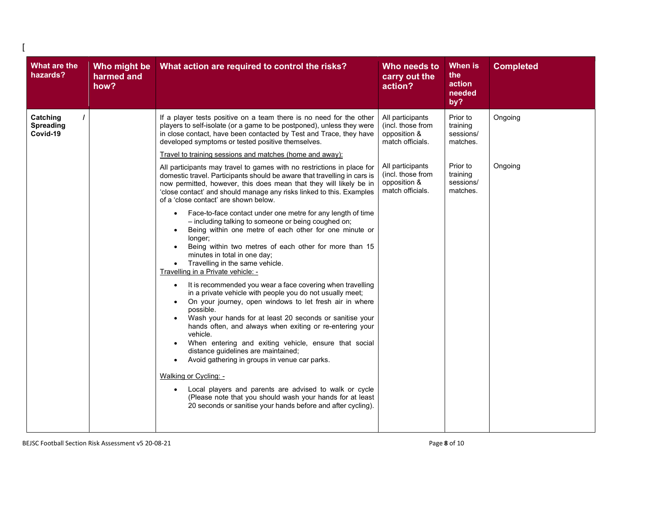| What are the<br>hazards?                 | Who might be<br>harmed and<br>how? | What action are required to control the risks?                                                                                                                                                                                                                                                                                                                                                                                                                                                                                                                                                                                                                                                                                                                                                                                                                                                                                                                                                                                                                                                                                                                                                                                                                                                                                                                                                                                                                                                                                                                                                                                                                                                                                                                                                | Who needs to<br>carry out the<br>action?                                                                                                               | When is<br>the<br>action<br>needed<br>by?                                                      | <b>Completed</b>   |
|------------------------------------------|------------------------------------|-----------------------------------------------------------------------------------------------------------------------------------------------------------------------------------------------------------------------------------------------------------------------------------------------------------------------------------------------------------------------------------------------------------------------------------------------------------------------------------------------------------------------------------------------------------------------------------------------------------------------------------------------------------------------------------------------------------------------------------------------------------------------------------------------------------------------------------------------------------------------------------------------------------------------------------------------------------------------------------------------------------------------------------------------------------------------------------------------------------------------------------------------------------------------------------------------------------------------------------------------------------------------------------------------------------------------------------------------------------------------------------------------------------------------------------------------------------------------------------------------------------------------------------------------------------------------------------------------------------------------------------------------------------------------------------------------------------------------------------------------------------------------------------------------|--------------------------------------------------------------------------------------------------------------------------------------------------------|------------------------------------------------------------------------------------------------|--------------------|
| Catching<br><b>Spreading</b><br>Covid-19 |                                    | If a player tests positive on a team there is no need for the other<br>players to self-isolate (or a game to be postponed), unless they were<br>in close contact, have been contacted by Test and Trace, they have<br>developed symptoms or tested positive themselves.<br>Travel to training sessions and matches (home and away):<br>All participants may travel to games with no restrictions in place for<br>domestic travel. Participants should be aware that travelling in cars is<br>now permitted, however, this does mean that they will likely be in<br>'close contact' and should manage any risks linked to this. Examples<br>of a 'close contact' are shown below.<br>Face-to-face contact under one metre for any length of time<br>$\bullet$<br>- including talking to someone or being coughed on;<br>Being within one metre of each other for one minute or<br>longer;<br>Being within two metres of each other for more than 15<br>minutes in total in one day;<br>Travelling in the same vehicle.<br>Travelling in a Private vehicle: -<br>It is recommended you wear a face covering when travelling<br>$\bullet$<br>in a private vehicle with people you do not usually meet;<br>On your journey, open windows to let fresh air in where<br>possible.<br>Wash your hands for at least 20 seconds or sanitise your<br>hands often, and always when exiting or re-entering your<br>vehicle.<br>When entering and exiting vehicle, ensure that social<br>$\bullet$<br>distance guidelines are maintained;<br>Avoid gathering in groups in venue car parks.<br>Walking or Cycling: -<br>Local players and parents are advised to walk or cycle<br>(Please note that you should wash your hands for at least<br>20 seconds or sanitise your hands before and after cycling). | All participants<br>(incl. those from<br>opposition &<br>match officials.<br>All participants<br>(incl. those from<br>opposition &<br>match officials. | Prior to<br>training<br>sessions/<br>matches.<br>Prior to<br>training<br>sessions/<br>matches. | Ongoing<br>Ongoing |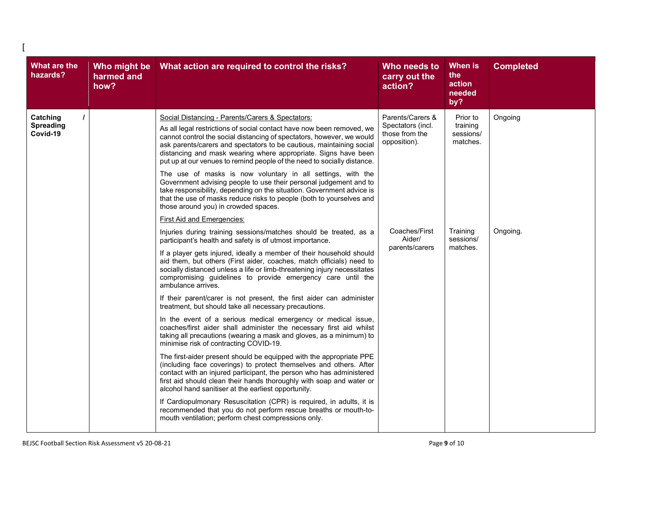| What are the<br>hazards?                 | Who might be<br>harmed and<br>how? | What action are required to control the risks?                                                                                                                                                                                                                                                                                                                                                                          | Who needs to<br>carry out the<br>action?                                | <b>When is</b><br>the<br>action<br>needed<br>by?         | <b>Completed</b> |
|------------------------------------------|------------------------------------|-------------------------------------------------------------------------------------------------------------------------------------------------------------------------------------------------------------------------------------------------------------------------------------------------------------------------------------------------------------------------------------------------------------------------|-------------------------------------------------------------------------|----------------------------------------------------------|------------------|
| Catching<br><b>Spreading</b><br>Covid-19 |                                    | Social Distancing - Parents/Carers & Spectators:<br>As all legal restrictions of social contact have now been removed, we<br>cannot control the social distancing of spectators, however, we would<br>ask parents/carers and spectators to be cautious, maintaining social<br>distancing and mask wearing where appropriate. Signs have been<br>put up at our venues to remind people of the need to socially distance. | Parents/Carers &<br>Spectators (incl.<br>those from the<br>opposition). | Ongoing<br>Prior to<br>training<br>sessions/<br>matches. |                  |
|                                          |                                    | The use of masks is now voluntary in all settings, with the<br>Government advising people to use their personal judgement and to<br>take responsibility, depending on the situation. Government advice is<br>that the use of masks reduce risks to people (both to yourselves and<br>those around you) in crowded spaces.                                                                                               |                                                                         |                                                          |                  |
|                                          |                                    | <b>First Aid and Emergencies:</b>                                                                                                                                                                                                                                                                                                                                                                                       |                                                                         |                                                          |                  |
|                                          |                                    | Injuries during training sessions/matches should be treated, as a<br>participant's health and safety is of utmost importance.                                                                                                                                                                                                                                                                                           | Coaches/First<br>Aider/<br>parents/carers                               | Training<br>sessions/<br>matches.                        | Ongoing.         |
|                                          |                                    | If a player gets injured, ideally a member of their household should<br>aid them, but others (First aider, coaches, match officials) need to<br>socially distanced unless a life or limb-threatening injury necessitates<br>compromising guidelines to provide emergency care until the<br>ambulance arrives.                                                                                                           |                                                                         |                                                          |                  |
|                                          |                                    | If their parent/carer is not present, the first aider can administer<br>treatment, but should take all necessary precautions.                                                                                                                                                                                                                                                                                           |                                                                         |                                                          |                  |
|                                          |                                    | In the event of a serious medical emergency or medical issue,<br>coaches/first aider shall administer the necessary first aid whilst<br>taking all precautions (wearing a mask and gloves, as a minimum) to<br>minimise risk of contracting COVID-19.                                                                                                                                                                   |                                                                         |                                                          |                  |
|                                          |                                    | The first-aider present should be equipped with the appropriate PPE<br>(including face coverings) to protect themselves and others. After<br>contact with an injured participant, the person who has administered<br>first aid should clean their hands thoroughly with soap and water or<br>alcohol hand sanitiser at the earliest opportunity.                                                                        |                                                                         |                                                          |                  |
|                                          |                                    | If Cardiopulmonary Resuscitation (CPR) is required, in adults, it is<br>recommended that you do not perform rescue breaths or mouth-to-<br>mouth ventilation; perform chest compressions only.                                                                                                                                                                                                                          |                                                                         |                                                          |                  |